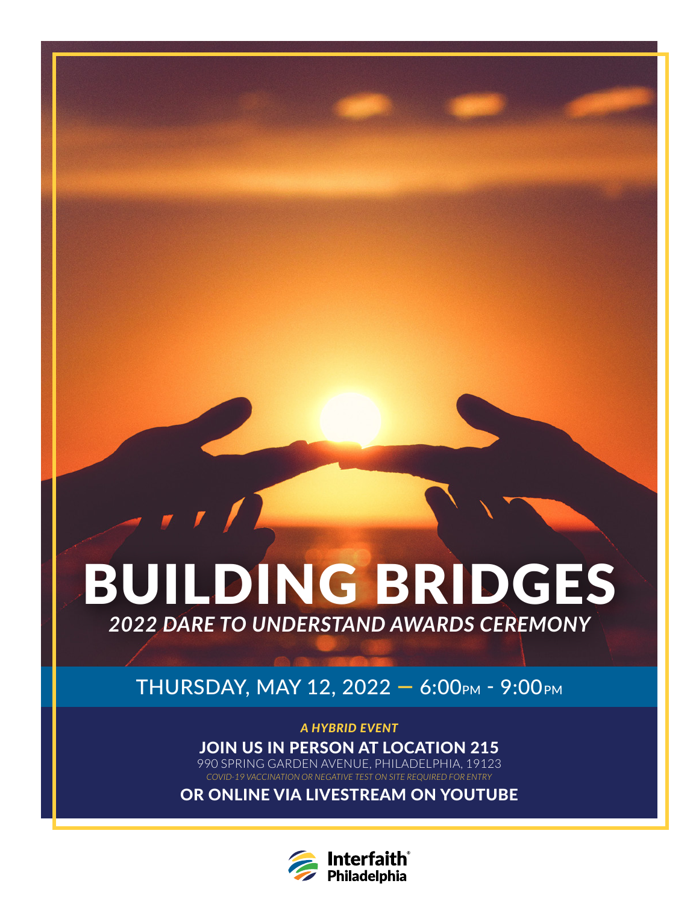# BUILDING BRIDGES *2022 DARE TO UNDERSTAND AWARDS CEREMONY*

THURSDAY, MAY 12, 2022 - 6:00PM - 9:00PM

*A HYBRID EVENT* JOIN US IN PERSON AT LOCATION 215 990 SPRING GARDEN AVENUE, PHILADELPHIA, 19123 *COVID-19 VACCINATION OR NEGATIVE TEST ON SITE REQUIRED FOR ENTRY*

OR ONLINE VIA LIVESTREAM ON YOUTUBE

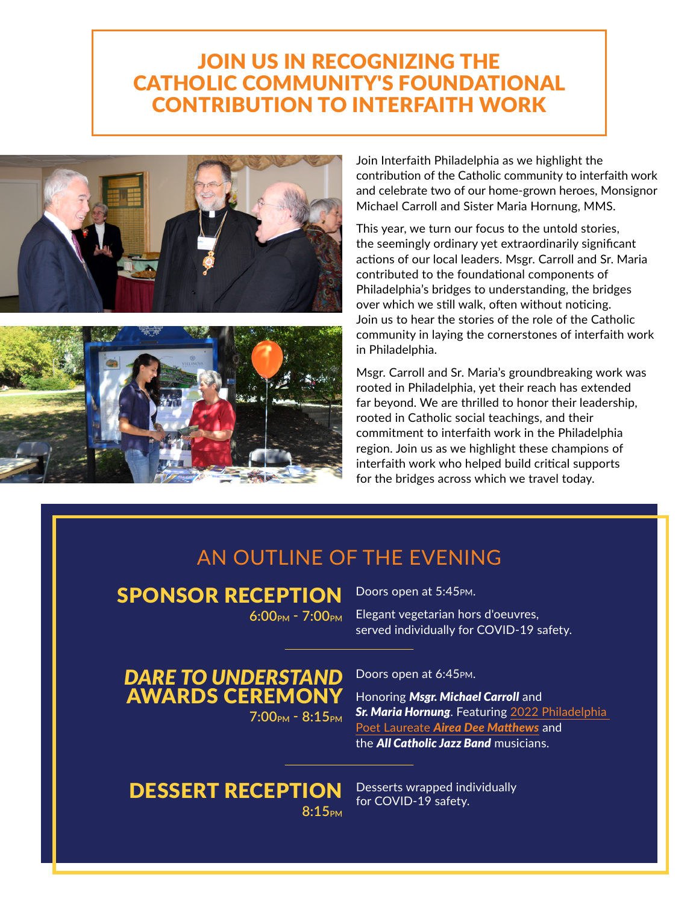## JOIN US IN RECOGNIZING THE CATHOLIC COMMUNITY'S FOUNDATIONAL CONTRIBUTION TO INTERFAITH WORK





Join Interfaith Philadelphia as we highlight the contribution of the Catholic community to interfaith work and celebrate two of our home-grown heroes, Monsignor Michael Carroll and Sister Maria Hornung, MMS.

This year, we turn our focus to the untold stories, the seemingly ordinary yet extraordinarily significant actions of our local leaders. Msgr. Carroll and Sr. Maria contributed to the foundational components of Philadelphia's bridges to understanding, the bridges over which we still walk, often without noticing. Join us to hear the stories of the role of the Catholic community in laying the cornerstones of interfaith work in Philadelphia.

Msgr. Carroll and Sr. Maria's groundbreaking work was rooted in Philadelphia, yet their reach has extended far beyond. We are thrilled to honor their leadership, rooted in Catholic social teachings, and their commitment to interfaith work in the Philadelphia region. Join us as we highlight these champions of interfaith work who helped build critical supports for the bridges across which we travel today.

## AN OUTLINE OF THE EVENING

SPONSOR RECEPTION

**6:00PM - 7:00PM**

Doors open at 5:45pm.

Elegant vegetarian hors d'oeuvres, served individually for COVID-19 safety.

*DARE TO UNDERSTAND* AWARDS CEREMONY **7:00PM - 8:15PM**

DESSERT RECEPTION 8:15<sub>PM</sub>

Doors open at 6:45pm.

Honoring *Msgr. Michael Carroll* and *Sr. Maria Hornung*. Featuring [2022 Philadelphia](https://libwww.freelibrary.org/programs/poet-laureate/)  Poet Laureate *[Airea Dee Matthews](https://libwww.freelibrary.org/programs/poet-laureate/)* and the *All Catholic Jazz Band* musicians.

Desserts wrapped individually for COVID-19 safety.